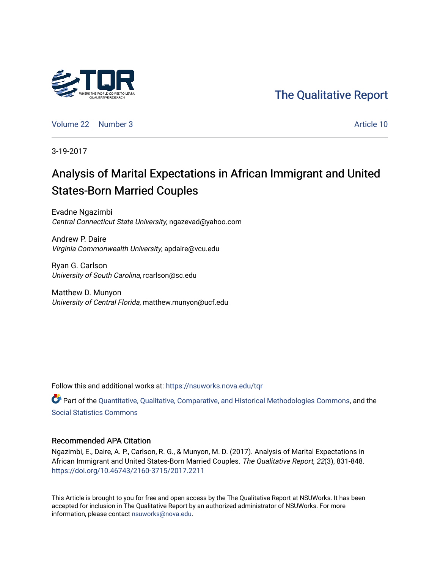

[The Qualitative Report](https://nsuworks.nova.edu/tqr) 

[Volume 22](https://nsuworks.nova.edu/tqr/vol22) [Number 3](https://nsuworks.nova.edu/tqr/vol22/iss3) Article 10

3-19-2017

# Analysis of Marital Expectations in African Immigrant and United States-Born Married Couples

Evadne Ngazimbi Central Connecticut State University, ngazevad@yahoo.com

Andrew P. Daire Virginia Commonwealth University, apdaire@vcu.edu

Ryan G. Carlson University of South Carolina, rcarlson@sc.edu

Matthew D. Munyon University of Central Florida, matthew.munyon@ucf.edu

Follow this and additional works at: [https://nsuworks.nova.edu/tqr](https://nsuworks.nova.edu/tqr?utm_source=nsuworks.nova.edu%2Ftqr%2Fvol22%2Fiss3%2F10&utm_medium=PDF&utm_campaign=PDFCoverPages) 

Part of the [Quantitative, Qualitative, Comparative, and Historical Methodologies Commons,](http://network.bepress.com/hgg/discipline/423?utm_source=nsuworks.nova.edu%2Ftqr%2Fvol22%2Fiss3%2F10&utm_medium=PDF&utm_campaign=PDFCoverPages) and the [Social Statistics Commons](http://network.bepress.com/hgg/discipline/1275?utm_source=nsuworks.nova.edu%2Ftqr%2Fvol22%2Fiss3%2F10&utm_medium=PDF&utm_campaign=PDFCoverPages) 

# Recommended APA Citation

Ngazimbi, E., Daire, A. P., Carlson, R. G., & Munyon, M. D. (2017). Analysis of Marital Expectations in African Immigrant and United States-Born Married Couples. The Qualitative Report, 22(3), 831-848. <https://doi.org/10.46743/2160-3715/2017.2211>

This Article is brought to you for free and open access by the The Qualitative Report at NSUWorks. It has been accepted for inclusion in The Qualitative Report by an authorized administrator of NSUWorks. For more information, please contact [nsuworks@nova.edu.](mailto:nsuworks@nova.edu)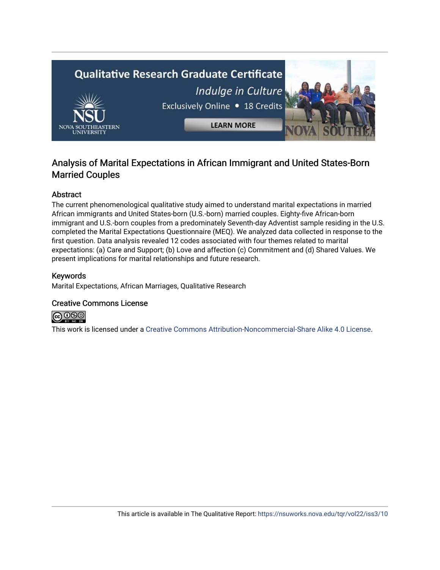

# Analysis of Marital Expectations in African Immigrant and United States-Born Married Couples

# Abstract

The current phenomenological qualitative study aimed to understand marital expectations in married African immigrants and United States-born (U.S.-born) married couples. Eighty-five African-born immigrant and U.S.-born couples from a predominately Seventh-day Adventist sample residing in the U.S. completed the Marital Expectations Questionnaire (MEQ). We analyzed data collected in response to the first question. Data analysis revealed 12 codes associated with four themes related to marital expectations: (a) Care and Support; (b) Love and affection (c) Commitment and (d) Shared Values. We present implications for marital relationships and future research.

# Keywords

Marital Expectations, African Marriages, Qualitative Research

#### Creative Commons License



This work is licensed under a [Creative Commons Attribution-Noncommercial-Share Alike 4.0 License](https://creativecommons.org/licenses/by-nc-sa/4.0/).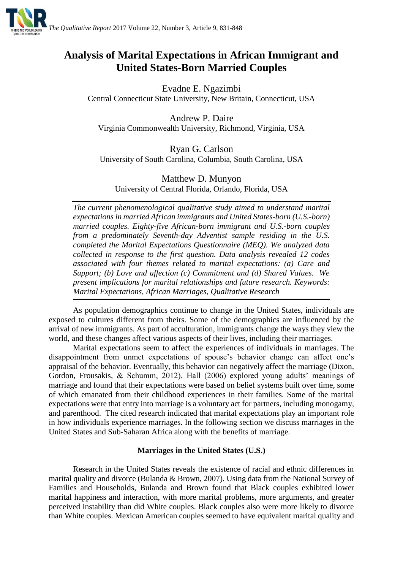

# **Analysis of Marital Expectations in African Immigrant and United States-Born Married Couples**

Evadne E. Ngazimbi Central Connecticut State University, New Britain, Connecticut, USA

Andrew P. Daire Virginia Commonwealth University, Richmond, Virginia, USA

Ryan G. Carlson University of South Carolina, Columbia, South Carolina, USA

Matthew D. Munyon University of Central Florida, Orlando, Florida, USA

*The current phenomenological qualitative study aimed to understand marital expectations in married African immigrants and United States-born (U.S.-born) married couples. Eighty-five African-born immigrant and U.S.-born couples from a predominately Seventh-day Adventist sample residing in the U.S. completed the Marital Expectations Questionnaire (MEQ). We analyzed data collected in response to the first question. Data analysis revealed 12 codes associated with four themes related to marital expectations: (a) Care and Support; (b) Love and affection (c) Commitment and (d) Shared Values. We present implications for marital relationships and future research. Keywords: Marital Expectations, African Marriages, Qualitative Research*

As population demographics continue to change in the United States, individuals are exposed to cultures different from theirs. Some of the demographics are influenced by the arrival of new immigrants. As part of acculturation, immigrants change the ways they view the world, and these changes affect various aspects of their lives, including their marriages.

Marital expectations seem to affect the experiences of individuals in marriages. The disappointment from unmet expectations of spouse's behavior change can affect one's appraisal of the behavior. Eventually, this behavior can negatively affect the marriage (Dixon, Gordon, Frousakis, & Schumm, 2012). Hall (2006) explored young adults' meanings of marriage and found that their expectations were based on belief systems built over time, some of which emanated from their childhood experiences in their families. Some of the marital expectations were that entry into marriage is a voluntary act for partners, including monogamy, and parenthood. The cited research indicated that marital expectations play an important role in how individuals experience marriages. In the following section we discuss marriages in the United States and Sub-Saharan Africa along with the benefits of marriage.

# **Marriages in the United States (U.S.)**

Research in the United States reveals the existence of racial and ethnic differences in marital quality and divorce (Bulanda & Brown, 2007). Using data from the National Survey of Families and Households, Bulanda and Brown found that Black couples exhibited lower marital happiness and interaction, with more marital problems, more arguments, and greater perceived instability than did White couples. Black couples also were more likely to divorce than White couples. Mexican American couples seemed to have equivalent marital quality and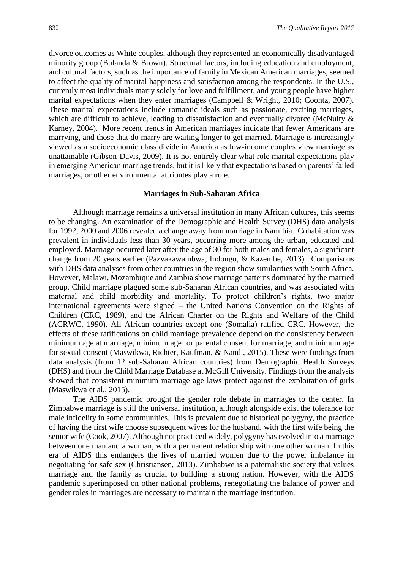divorce outcomes as White couples, although they represented an economically disadvantaged minority group (Bulanda & Brown). Structural factors, including education and employment, and cultural factors, such as the importance of family in Mexican American marriages, seemed to affect the quality of marital happiness and satisfaction among the respondents. In the U.S., currently most individuals marry solely for love and fulfillment, and young people have higher marital expectations when they enter marriages (Campbell & Wright, 2010; Coontz, 2007). These marital expectations include romantic ideals such as passionate, exciting marriages, which are difficult to achieve, leading to dissatisfaction and eventually divorce (McNulty  $\&$ Karney, 2004). More recent trends in American marriages indicate that fewer Americans are marrying, and those that do marry are waiting longer to get married. Marriage is increasingly viewed as a socioeconomic class divide in America as low-income couples view marriage as unattainable (Gibson-Davis, 2009). It is not entirely clear what role marital expectations play in emerging American marriage trends, but it is likely that expectations based on parents' failed marriages, or other environmental attributes play a role.

#### **Marriages in Sub-Saharan Africa**

Although marriage remains a universal institution in many African cultures, this seems to be changing. An examination of the Demographic and Health Survey (DHS) data analysis for 1992, 2000 and 2006 revealed a change away from marriage in Namibia. Cohabitation was prevalent in individuals less than 30 years, occurring more among the urban, educated and employed. Marriage occurred later after the age of 30 for both males and females, a significant change from 20 years earlier (Pazvakawambwa, Indongo, & Kazembe, 2013). Comparisons with DHS data analyses from other countries in the region show similarities with South Africa. However, Malawi, Mozambique and Zambia show marriage patterns dominated by the married group. Child marriage plagued some sub-Saharan African countries, and was associated with maternal and child morbidity and mortality. To protect children's rights, two major international agreements were signed – the United Nations Convention on the Rights of Children (CRC, 1989), and the African Charter on the Rights and Welfare of the Child (ACRWC, 1990). All African countries except one (Somalia) ratified CRC. However, the effects of these ratifications on child marriage prevalence depend on the consistency between minimum age at marriage, minimum age for parental consent for marriage, and minimum age for sexual consent (Maswikwa, Richter, Kaufman, & Nandi, 2015). These were findings from data analysis (from 12 sub-Saharan African countries) from Demographic Health Surveys (DHS) and from the Child Marriage Database at McGill University. Findings from the analysis showed that consistent minimum marriage age laws protect against the exploitation of girls (Maswikwa et al., 2015).

The AIDS pandemic brought the gender role debate in marriages to the center. In Zimbabwe marriage is still the universal institution, although alongside exist the tolerance for male infidelity in some communities. This is prevalent due to historical polygyny, the practice of having the first wife choose subsequent wives for the husband, with the first wife being the senior wife (Cook, 2007). Although not practiced widely, polygyny has evolved into a marriage between one man and a woman, with a permanent relationship with one other woman. In this era of AIDS this endangers the lives of married women due to the power imbalance in negotiating for safe sex (Christiansen, 2013). Zimbabwe is a paternalistic society that values marriage and the family as crucial to building a strong nation. However, with the AIDS pandemic superimposed on other national problems, renegotiating the balance of power and gender roles in marriages are necessary to maintain the marriage institution.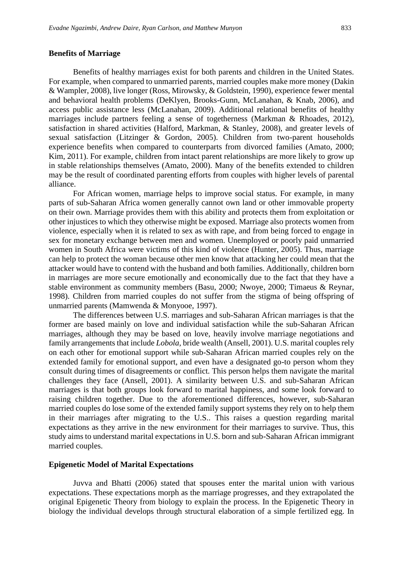#### **Benefits of Marriage**

Benefits of healthy marriages exist for both parents and children in the United States. For example, when compared to unmarried parents, married couples make more money (Dakin & Wampler, 2008), live longer (Ross, Mirowsky, & Goldstein, 1990), experience fewer mental and behavioral health problems (DeKlyen, Brooks-Gunn, McLanahan, & Knab, 2006), and access public assistance less (McLanahan, 2009). Additional relational benefits of healthy marriages include partners feeling a sense of togetherness (Markman & Rhoades, 2012), satisfaction in shared activities (Halford, Markman, & Stanley, 2008), and greater levels of sexual satisfaction (Litzinger & Gordon, 2005). Children from two-parent households experience benefits when compared to counterparts from divorced families (Amato, 2000; Kim, 2011). For example, children from intact parent relationships are more likely to grow up in stable relationships themselves (Amato, 2000). Many of the benefits extended to children may be the result of coordinated parenting efforts from couples with higher levels of parental alliance.

For African women, marriage helps to improve social status. For example, in many parts of sub-Saharan Africa women generally cannot own land or other immovable property on their own. Marriage provides them with this ability and protects them from exploitation or other injustices to which they otherwise might be exposed. Marriage also protects women from violence, especially when it is related to sex as with rape, and from being forced to engage in sex for monetary exchange between men and women. Unemployed or poorly paid unmarried women in South Africa were victims of this kind of violence (Hunter, 2005). Thus, marriage can help to protect the woman because other men know that attacking her could mean that the attacker would have to contend with the husband and both families. Additionally, children born in marriages are more secure emotionally and economically due to the fact that they have a stable environment as community members (Basu, 2000; Nwoye, 2000; Timaeus & Reynar, 1998). Children from married couples do not suffer from the stigma of being offspring of unmarried parents (Mamwenda & Monyooe, 1997).

The differences between U.S. marriages and sub-Saharan African marriages is that the former are based mainly on love and individual satisfaction while the sub-Saharan African marriages, although they may be based on love, heavily involve marriage negotiations and family arrangements that include *Lobola,* bride wealth (Ansell, 2001). U.S. marital couples rely on each other for emotional support while sub-Saharan African married couples rely on the extended family for emotional support, and even have a designated go-to person whom they consult during times of disagreements or conflict. This person helps them navigate the marital challenges they face (Ansell, 2001). A similarity between U.S. and sub-Saharan African marriages is that both groups look forward to marital happiness, and some look forward to raising children together. Due to the aforementioned differences, however, sub-Saharan married couples do lose some of the extended family support systems they rely on to help them in their marriages after migrating to the U.S.. This raises a question regarding marital expectations as they arrive in the new environment for their marriages to survive. Thus, this study aims to understand marital expectations in U.S. born and sub-Saharan African immigrant married couples.

#### **Epigenetic Model of Marital Expectations**

Juvva and Bhatti (2006) stated that spouses enter the marital union with various expectations. These expectations morph as the marriage progresses, and they extrapolated the original Epigenetic Theory from biology to explain the process. In the Epigenetic Theory in biology the individual develops through structural elaboration of a simple fertilized egg. In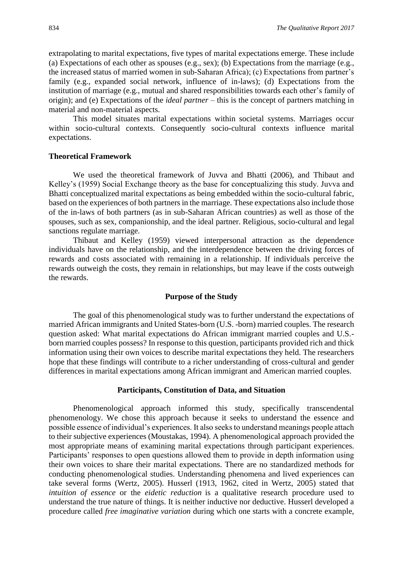extrapolating to marital expectations, five types of marital expectations emerge. These include (a) Expectations of each other as spouses (e.g., sex); (b) Expectations from the marriage (e.g., the increased status of married women in sub-Saharan Africa); (c) Expectations from partner's family (e.g., expanded social network, influence of in-laws); (d) Expectations from the institution of marriage (e.g., mutual and shared responsibilities towards each other's family of origin); and (e) Expectations of the *ideal partner* – this is the concept of partners matching in material and non-material aspects.

This model situates marital expectations within societal systems. Marriages occur within socio-cultural contexts. Consequently socio-cultural contexts influence marital expectations.

#### **Theoretical Framework**

We used the theoretical framework of Juvva and Bhatti (2006), and Thibaut and Kelley's (1959) Social Exchange theory as the base for conceptualizing this study. Juvva and Bhatti conceptualized marital expectations as being embedded within the socio-cultural fabric, based on the experiences of both partners in the marriage. These expectations also include those of the in-laws of both partners (as in sub-Saharan African countries) as well as those of the spouses, such as sex, companionship, and the ideal partner. Religious, socio-cultural and legal sanctions regulate marriage.

Thibaut and Kelley (1959) viewed interpersonal attraction as the dependence individuals have on the relationship, and the interdependence between the driving forces of rewards and costs associated with remaining in a relationship. If individuals perceive the rewards outweigh the costs, they remain in relationships, but may leave if the costs outweigh the rewards.

# **Purpose of the Study**

The goal of this phenomenological study was to further understand the expectations of married African immigrants and United States-born (U.S. -born) married couples. The research question asked: What marital expectations do African immigrant married couples and U.S. born married couples possess? In response to this question, participants provided rich and thick information using their own voices to describe marital expectations they held. The researchers hope that these findings will contribute to a richer understanding of cross-cultural and gender differences in marital expectations among African immigrant and American married couples.

#### **Participants, Constitution of Data, and Situation**

Phenomenological approach informed this study, specifically transcendental phenomenology. We chose this approach because it seeks to understand the essence and possible essence of individual's experiences. It also seeks to understand meanings people attach to their subjective experiences (Moustakas, 1994). A phenomenological approach provided the most appropriate means of examining marital expectations through participant experiences. Participants' responses to open questions allowed them to provide in depth information using their own voices to share their marital expectations. There are no standardized methods for conducting phenomenological studies. Understanding phenomena and lived experiences can take several forms (Wertz, 2005). Husserl (1913, 1962, cited in Wertz, 2005) stated that *intuition of essence* or the *eidetic reduction* is a qualitative research procedure used to understand the true nature of things. It is neither inductive nor deductive. Husserl developed a procedure called *free imaginative variation* during which one starts with a concrete example,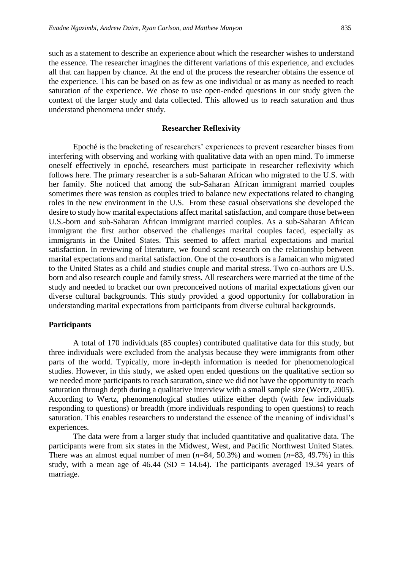such as a statement to describe an experience about which the researcher wishes to understand the essence. The researcher imagines the different variations of this experience, and excludes all that can happen by chance. At the end of the process the researcher obtains the essence of the experience. This can be based on as few as one individual or as many as needed to reach saturation of the experience. We chose to use open-ended questions in our study given the context of the larger study and data collected. This allowed us to reach saturation and thus understand phenomena under study.

#### **Researcher Reflexivity**

Epoché is the bracketing of researchers' experiences to prevent researcher biases from interfering with observing and working with qualitative data with an open mind. To immerse oneself effectively in epoché, researchers must participate in researcher reflexivity which follows here. The primary researcher is a sub-Saharan African who migrated to the U.S. with her family. She noticed that among the sub-Saharan African immigrant married couples sometimes there was tension as couples tried to balance new expectations related to changing roles in the new environment in the U.S. From these casual observations she developed the desire to study how marital expectations affect marital satisfaction, and compare those between U.S.-born and sub-Saharan African immigrant married couples. As a sub-Saharan African immigrant the first author observed the challenges marital couples faced, especially as immigrants in the United States. This seemed to affect marital expectations and marital satisfaction. In reviewing of literature, we found scant research on the relationship between marital expectations and marital satisfaction. One of the co-authors is a Jamaican who migrated to the United States as a child and studies couple and marital stress. Two co-authors are U.S. born and also research couple and family stress. All researchers were married at the time of the study and needed to bracket our own preconceived notions of marital expectations given our diverse cultural backgrounds. This study provided a good opportunity for collaboration in understanding marital expectations from participants from diverse cultural backgrounds.

#### **Participants**

A total of 170 individuals (85 couples) contributed qualitative data for this study, but three individuals were excluded from the analysis because they were immigrants from other parts of the world. Typically, more in-depth information is needed for phenomenological studies. However, in this study, we asked open ended questions on the qualitative section so we needed more participants to reach saturation, since we did not have the opportunity to reach saturation through depth during a qualitative interview with a small sample size (Wertz, 2005). According to Wertz, phenomenological studies utilize either depth (with few individuals responding to questions) or breadth (more individuals responding to open questions) to reach saturation. This enables researchers to understand the essence of the meaning of individual's experiences.

The data were from a larger study that included quantitative and qualitative data. The participants were from six states in the Midwest, West, and Pacific Northwest United States. There was an almost equal number of men  $(n=84, 50.3%)$  and women  $(n=83, 49.7%)$  in this study, with a mean age of  $46.44$  (SD = 14.64). The participants averaged 19.34 years of marriage.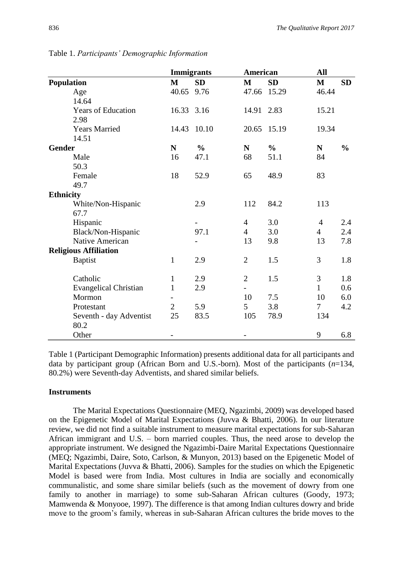|                              | <b>Immigrants</b> |               | American       |               | All            |               |
|------------------------------|-------------------|---------------|----------------|---------------|----------------|---------------|
| <b>Population</b>            | $\mathbf{M}$      | <b>SD</b>     | $\mathbf{M}$   | <b>SD</b>     | $\mathbf{M}$   | <b>SD</b>     |
| Age                          | 40.65             | 9.76          | 47.66          | 15.29         | 46.44          |               |
| 14.64                        |                   |               |                |               |                |               |
| <b>Years of Education</b>    | 16.33 3.16        |               | 14.91 2.83     |               | 15.21          |               |
| 2.98                         |                   |               |                |               |                |               |
| <b>Years Married</b>         | 14.43             | 10.10         | 20.65          | 15.19         | 19.34          |               |
| 14.51                        |                   |               |                |               |                |               |
| <b>Gender</b>                | ${\bf N}$         | $\frac{0}{0}$ | $\mathbf N$    | $\frac{0}{0}$ | N              | $\frac{0}{0}$ |
| Male                         | 16                | 47.1          | 68             | 51.1          | 84             |               |
| 50.3                         |                   |               |                |               |                |               |
| Female                       | 18                | 52.9          | 65             | 48.9          | 83             |               |
| 49.7                         |                   |               |                |               |                |               |
| <b>Ethnicity</b>             |                   |               |                |               |                |               |
| White/Non-Hispanic           |                   | 2.9           | 112            | 84.2          | 113            |               |
| 67.7                         |                   |               |                |               |                |               |
| Hispanic                     |                   |               | $\overline{4}$ | 3.0           | $\overline{4}$ | 2.4           |
| Black/Non-Hispanic           |                   | 97.1          | $\overline{4}$ | 3.0           | $\overline{4}$ | 2.4           |
| Native American              |                   |               | 13             | 9.8           | 13             | 7.8           |
| <b>Religious Affiliation</b> |                   |               |                |               |                |               |
| <b>Baptist</b>               | $\mathbf{1}$      | 2.9           | $\overline{2}$ | 1.5           | 3              | 1.8           |
| Catholic                     | $\mathbf{1}$      | 2.9           | $\overline{2}$ | 1.5           | 3              | 1.8           |
| <b>Evangelical Christian</b> | $\mathbf{1}$      | 2.9           | -              |               | $\mathbf{1}$   | 0.6           |
| Mormon                       |                   |               | 10             | 7.5           | 10             | 6.0           |
| Protestant                   | $\overline{2}$    | 5.9           | 5              | 3.8           | $\tau$         | 4.2           |
| Seventh - day Adventist      | 25                | 83.5          | 105            | 78.9          | 134            |               |
| 80.2                         |                   |               |                |               |                |               |
| Other                        |                   |               |                |               | 9              | 6.8           |

Table 1. *Participants' Demographic Information*

Table 1 (Participant Demographic Information) presents additional data for all participants and data by participant group (African Born and U.S.-born). Most of the participants (*n*=134, 80.2%) were Seventh-day Adventists, and shared similar beliefs.

#### **Instruments**

The Marital Expectations Questionnaire (MEQ, Ngazimbi, 2009) was developed based on the Epigenetic Model of Marital Expectations (Juvva & Bhatti, 2006). In our literature review, we did not find a suitable instrument to measure marital expectations for sub-Saharan African immigrant and U.S. – born married couples. Thus, the need arose to develop the appropriate instrument. We designed the Ngazimbi-Daire Marital Expectations Questionnaire (MEQ; Ngazimbi, Daire, Soto, Carlson, & Munyon, 2013) based on the Epigenetic Model of Marital Expectations (Juvva & Bhatti, 2006). Samples for the studies on which the Epigenetic Model is based were from India. Most cultures in India are socially and economically communalistic, and some share similar beliefs (such as the movement of dowry from one family to another in marriage) to some sub-Saharan African cultures (Goody, 1973; Mamwenda & Monyooe, 1997). The difference is that among Indian cultures dowry and bride move to the groom's family, whereas in sub-Saharan African cultures the bride moves to the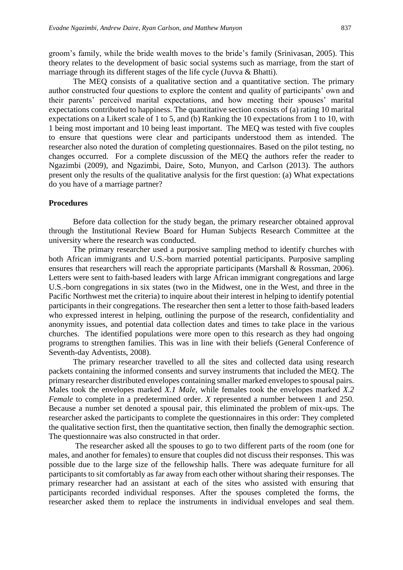groom's family, while the bride wealth moves to the bride's family (Srinivasan, 2005). This theory relates to the development of basic social systems such as marriage, from the start of marriage through its different stages of the life cycle (Juvva & Bhatti).

The MEQ consists of a qualitative section and a quantitative section. The primary author constructed four questions to explore the content and quality of participants' own and their parents' perceived marital expectations, and how meeting their spouses' marital expectations contributed to happiness. The quantitative section consists of (a) rating 10 marital expectations on a Likert scale of 1 to 5, and (b) Ranking the 10 expectations from 1 to 10, with 1 being most important and 10 being least important. The MEQ was tested with five couples to ensure that questions were clear and participants understood them as intended. The researcher also noted the duration of completing questionnaires. Based on the pilot testing, no changes occurred. For a complete discussion of the MEQ the authors refer the reader to Ngazimbi (2009), and Ngazimbi, Daire, Soto, Munyon, and Carlson (2013). The authors present only the results of the qualitative analysis for the first question: (a) What expectations do you have of a marriage partner?

#### **Procedures**

Before data collection for the study began, the primary researcher obtained approval through the Institutional Review Board for Human Subjects Research Committee at the university where the research was conducted.

The primary researcher used a purposive sampling method to identify churches with both African immigrants and U.S.-born married potential participants. Purposive sampling ensures that researchers will reach the appropriate participants (Marshall & Rossman, 2006). Letters were sent to faith-based leaders with large African immigrant congregations and large U.S.-born congregations in six states (two in the Midwest, one in the West, and three in the Pacific Northwest met the criteria) to inquire about their interest in helping to identify potential participants in their congregations. The researcher then sent a letter to those faith-based leaders who expressed interest in helping, outlining the purpose of the research, confidentiality and anonymity issues, and potential data collection dates and times to take place in the various churches. The identified populations were more open to this research as they had ongoing programs to strengthen families. This was in line with their beliefs (General Conference of Seventh-day Adventists, 2008).

The primary researcher travelled to all the sites and collected data using research packets containing the informed consents and survey instruments that included the MEQ. The primary researcher distributed envelopes containing smaller marked envelopes to spousal pairs. Males took the envelopes marked *X.1 Male,* while females took the envelopes marked *X.2 Female* to complete in a predetermined order. *X* represented a number between 1 and 250. Because a number set denoted a spousal pair, this eliminated the problem of mix-ups. The researcher asked the participants to complete the questionnaires in this order: They completed the qualitative section first, then the quantitative section, then finally the demographic section. The questionnaire was also constructed in that order.

The researcher asked all the spouses to go to two different parts of the room (one for males, and another for females) to ensure that couples did not discuss their responses. This was possible due to the large size of the fellowship halls. There was adequate furniture for all participants to sit comfortably as far away from each other without sharing their responses. The primary researcher had an assistant at each of the sites who assisted with ensuring that participants recorded individual responses. After the spouses completed the forms, the researcher asked them to replace the instruments in individual envelopes and seal them.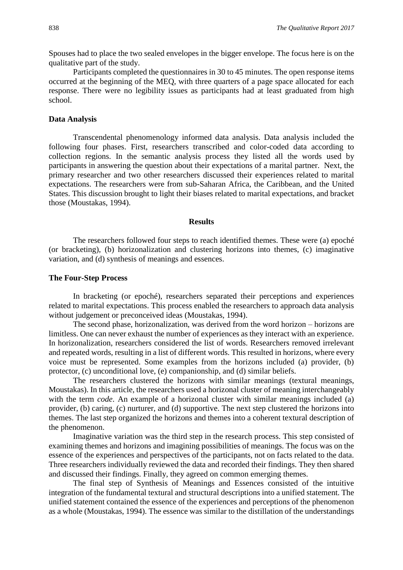Spouses had to place the two sealed envelopes in the bigger envelope. The focus here is on the qualitative part of the study.

Participants completed the questionnaires in 30 to 45 minutes. The open response items occurred at the beginning of the MEQ, with three quarters of a page space allocated for each response. There were no legibility issues as participants had at least graduated from high school.

# **Data Analysis**

Transcendental phenomenology informed data analysis. Data analysis included the following four phases. First, researchers transcribed and color-coded data according to collection regions. In the semantic analysis process they listed all the words used by participants in answering the question about their expectations of a marital partner. Next, the primary researcher and two other researchers discussed their experiences related to marital expectations. The researchers were from sub-Saharan Africa, the Caribbean, and the United States. This discussion brought to light their biases related to marital expectations, and bracket those (Moustakas, 1994).

#### **Results**

The researchers followed four steps to reach identified themes. These were (a) epoché (or bracketing), (b) horizonalization and clustering horizons into themes, (c) imaginative variation, and (d) synthesis of meanings and essences.

#### **The Four-Step Process**

In bracketing (or epoché), researchers separated their perceptions and experiences related to marital expectations. This process enabled the researchers to approach data analysis without judgement or preconceived ideas (Moustakas, 1994).

The second phase, horizonalization, was derived from the word horizon – horizons are limitless. One can never exhaust the number of experiences as they interact with an experience. In horizonalization, researchers considered the list of words. Researchers removed irrelevant and repeated words, resulting in a list of different words. This resulted in horizons, where every voice must be represented. Some examples from the horizons included (a) provider, (b) protector, (c) unconditional love, (e) companionship, and (d) similar beliefs.

The researchers clustered the horizons with similar meanings (textural meanings, Moustakas). In this article, the researchers used a horizonal cluster of meaning interchangeably with the term *code*. An example of a horizonal cluster with similar meanings included (a) provider, (b) caring, (c) nurturer, and (d) supportive. The next step clustered the horizons into themes. The last step organized the horizons and themes into a coherent textural description of the phenomenon.

Imaginative variation was the third step in the research process. This step consisted of examining themes and horizons and imagining possibilities of meanings. The focus was on the essence of the experiences and perspectives of the participants, not on facts related to the data. Three researchers individually reviewed the data and recorded their findings. They then shared and discussed their findings. Finally, they agreed on common emerging themes.

The final step of Synthesis of Meanings and Essences consisted of the intuitive integration of the fundamental textural and structural descriptions into a unified statement. The unified statement contained the essence of the experiences and perceptions of the phenomenon as a whole (Moustakas, 1994). The essence was similar to the distillation of the understandings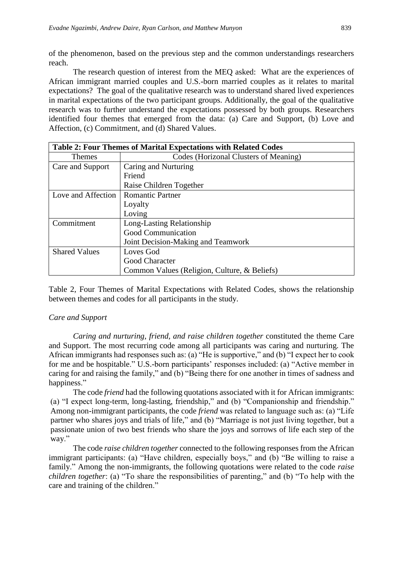of the phenomenon, based on the previous step and the common understandings researchers reach.

The research question of interest from the MEQ asked: What are the experiences of African immigrant married couples and U.S.-born married couples as it relates to marital expectations? The goal of the qualitative research was to understand shared lived experiences in marital expectations of the two participant groups. Additionally, the goal of the qualitative research was to further understand the expectations possessed by both groups. Researchers identified four themes that emerged from the data: (a) Care and Support, (b) Love and Affection, (c) Commitment, and (d) Shared Values.

| <b>Table 2: Four Themes of Marital Expectations with Related Codes</b> |                                              |  |
|------------------------------------------------------------------------|----------------------------------------------|--|
| Themes                                                                 | Codes (Horizonal Clusters of Meaning)        |  |
| Care and Support                                                       | Caring and Nurturing                         |  |
|                                                                        | Friend                                       |  |
|                                                                        | Raise Children Together                      |  |
| Love and Affection                                                     | <b>Romantic Partner</b>                      |  |
|                                                                        | Loyalty                                      |  |
|                                                                        | Loving                                       |  |
| Commitment                                                             | Long-Lasting Relationship                    |  |
|                                                                        | Good Communication                           |  |
|                                                                        | Joint Decision-Making and Teamwork           |  |
| <b>Shared Values</b>                                                   | Loves God                                    |  |
|                                                                        | Good Character                               |  |
|                                                                        | Common Values (Religion, Culture, & Beliefs) |  |

Table 2, Four Themes of Marital Expectations with Related Codes, shows the relationship between themes and codes for all participants in the study.

#### *Care and Support*

*Caring and nurturing, friend, and raise children together* constituted the theme Care and Support. The most recurring code among all participants was caring and nurturing. The African immigrants had responses such as: (a) "He is supportive," and (b) "I expect her to cook for me and be hospitable." U.S.-born participants' responses included: (a) "Active member in caring for and raising the family," and (b) "Being there for one another in times of sadness and happiness."

The code *friend* had the following quotations associated with it for African immigrants: (a) "I expect long-term, long-lasting, friendship," and (b) "Companionship and friendship." Among non-immigrant participants, the code *friend* was related to language such as: (a) "Life partner who shares joys and trials of life," and (b) "Marriage is not just living together, but a passionate union of two best friends who share the joys and sorrows of life each step of the way."

The code *raise children together* connected to the following responses from the African immigrant participants: (a) "Have children, especially boys," and (b) "Be willing to raise a family." Among the non-immigrants, the following quotations were related to the code *raise children together*: (a) "To share the responsibilities of parenting," and (b) "To help with the care and training of the children."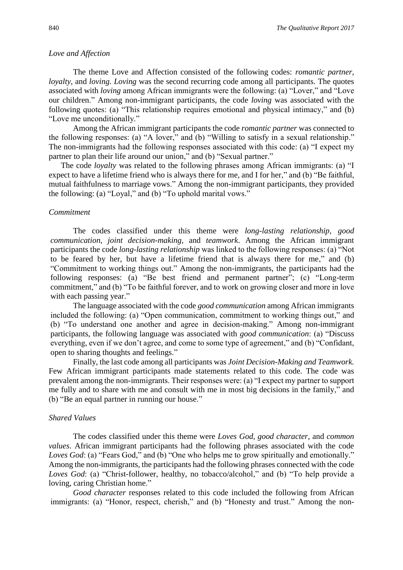#### *Love and Affection*

The theme Love and Affection consisted of the following codes: *romantic partner, loyalty*, and *loving*. *Loving* was the second recurring code among all participants. The quotes associated with *loving* among African immigrants were the following: (a) "Lover," and "Love our children." Among non-immigrant participants, the code *loving* was associated with the following quotes: (a) "This relationship requires emotional and physical intimacy," and (b) "Love me unconditionally."

Among the African immigrant participants the code *romantic partner* was connected to the following responses: (a) "A lover," and (b) "Willing to satisfy in a sexual relationship." The non-immigrants had the following responses associated with this code: (a) "I expect my partner to plan their life around our union," and (b) "Sexual partner."

The code *loyalty* was related to the following phrases among African immigrants: (a) "I expect to have a lifetime friend who is always there for me, and I for her," and (b) "Be faithful, mutual faithfulness to marriage vows." Among the non-immigrant participants, they provided the following: (a) "Loyal," and (b) "To uphold marital vows."

#### *Commitment*

The codes classified under this theme were *long-lasting relationship, good communication, joint decision-making,* and *teamwork*. Among the African immigrant participants the code *long-lasting relationship* was linked to the following responses: (a) "Not to be feared by her, but have a lifetime friend that is always there for me," and (b) "Commitment to working things out." Among the non-immigrants, the participants had the following responses: (a) "Be best friend and permanent partner"; (c) "Long-term commitment," and (b) "To be faithful forever, and to work on growing closer and more in love with each passing year."

The language associated with the code *good communication* among African immigrants included the following: (a) "Open communication, commitment to working things out," and (b) "To understand one another and agree in decision-making." Among non-immigrant participants, the following language was associated with *good communication*: (a) "Discuss everything, even if we don't agree, and come to some type of agreement," and (b) "Confidant, open to sharing thoughts and feelings."

Finally, the last code among all participants was *Joint Decision-Making and Teamwork.*  Few African immigrant participants made statements related to this code. The code was prevalent among the non-immigrants. Their responses were: (a) "I expect my partner to support me fully and to share with me and consult with me in most big decisions in the family," and (b) "Be an equal partner in running our house."

#### *Shared Values*

The codes classified under this theme were *Loves God, good character*, and *common values*. African immigrant participants had the following phrases associated with the code *Loves God*: (a) "Fears God," and (b) "One who helps me to grow spiritually and emotionally." Among the non-immigrants, the participants had the following phrases connected with the code *Loves God*: (a) "Christ-follower, healthy, no tobacco/alcohol," and (b) "To help provide a loving, caring Christian home."

*Good character* responses related to this code included the following from African immigrants: (a) "Honor, respect, cherish," and (b) "Honesty and trust." Among the non-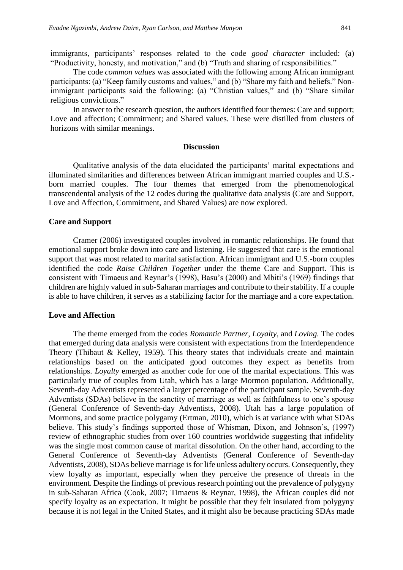immigrants, participants' responses related to the code *good character* included: (a) "Productivity, honesty, and motivation," and (b) "Truth and sharing of responsibilities."

The code *common values* was associated with the following among African immigrant participants: (a) "Keep family customs and values," and (b) "Share my faith and beliefs." Nonimmigrant participants said the following: (a) "Christian values," and (b) "Share similar religious convictions."

In answer to the research question, the authors identified four themes: Care and support; Love and affection; Commitment; and Shared values. These were distilled from clusters of horizons with similar meanings.

#### **Discussion**

Qualitative analysis of the data elucidated the participants' marital expectations and illuminated similarities and differences between African immigrant married couples and U.S. born married couples. The four themes that emerged from the phenomenological transcendental analysis of the 12 codes during the qualitative data analysis (Care and Support, Love and Affection, Commitment, and Shared Values) are now explored.

#### **Care and Support**

Cramer (2006) investigated couples involved in romantic relationships. He found that emotional support broke down into care and listening. He suggested that care is the emotional support that was most related to marital satisfaction. African immigrant and U.S.-born couples identified the code *Raise Children Together* under the theme Care and Support. This is consistent with Timaeus and Reynar's (1998), Basu's (2000) and Mbiti's (1969) findings that children are highly valued in sub-Saharan marriages and contribute to their stability. If a couple is able to have children, it serves as a stabilizing factor for the marriage and a core expectation.

#### **Love and Affection**

The theme emerged from the codes *Romantic Partner, Loyalty,* and *Loving.* The codes that emerged during data analysis were consistent with expectations from the Interdependence Theory (Thibaut & Kelley, 1959). This theory states that individuals create and maintain relationships based on the anticipated good outcomes they expect as benefits from relationships. *Loyalty* emerged as another code for one of the marital expectations. This was particularly true of couples from Utah, which has a large Mormon population. Additionally, Seventh-day Adventists represented a larger percentage of the participant sample. Seventh-day Adventists (SDAs) believe in the sanctity of marriage as well as faithfulness to one's spouse (General Conference of Seventh-day Adventists, 2008). Utah has a large population of Mormons, and some practice polygamy (Ertman, 2010), which is at variance with what SDAs believe. This study's findings supported those of Whisman, Dixon, and Johnson's, (1997) review of ethnographic studies from over 160 countries worldwide suggesting that infidelity was the single most common cause of marital dissolution. On the other hand, according to the General Conference of Seventh-day Adventists (General Conference of Seventh-day Adventists, 2008), SDAs believe marriage is for life unless adultery occurs. Consequently, they view loyalty as important, especially when they perceive the presence of threats in the environment. Despite the findings of previous research pointing out the prevalence of polygyny in sub-Saharan Africa (Cook, 2007; Timaeus & Reynar, 1998), the African couples did not specify loyalty as an expectation. It might be possible that they felt insulated from polygyny because it is not legal in the United States, and it might also be because practicing SDAs made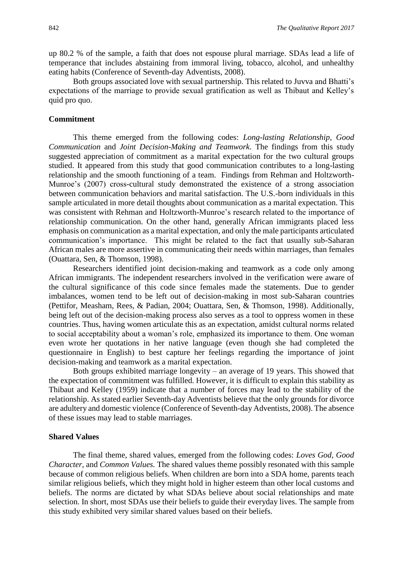up 80.2 % of the sample, a faith that does not espouse plural marriage. SDAs lead a life of temperance that includes abstaining from immoral living, tobacco, alcohol, and unhealthy eating habits (Conference of Seventh-day Adventists, 2008).

Both groups associated love with sexual partnership. This related to Juvva and Bhatti's expectations of the marriage to provide sexual gratification as well as Thibaut and Kelley's quid pro quo.

### **Commitment**

This theme emerged from the following codes: *Long-lasting Relationship, Good Communication* and *Joint Decision-Making and Teamwork*. The findings from this study suggested appreciation of commitment as a marital expectation for the two cultural groups studied. It appeared from this study that good communication contributes to a long-lasting relationship and the smooth functioning of a team. Findings from Rehman and Holtzworth-Munroe's (2007) cross-cultural study demonstrated the existence of a strong association between communication behaviors and marital satisfaction. The U.S.-born individuals in this sample articulated in more detail thoughts about communication as a marital expectation. This was consistent with Rehman and Holtzworth-Munroe's research related to the importance of relationship communication. On the other hand, generally African immigrants placed less emphasis on communication as a marital expectation, and only the male participants articulated communication's importance. This might be related to the fact that usually sub-Saharan African males are more assertive in communicating their needs within marriages, than females (Ouattara, Sen, & Thomson, 1998).

Researchers identified joint decision-making and teamwork as a code only among African immigrants. The independent researchers involved in the verification were aware of the cultural significance of this code since females made the statements. Due to gender imbalances, women tend to be left out of decision-making in most sub-Saharan countries (Pettifor, Measham, Rees, & Padian, 2004; Ouattara, Sen, & Thomson, 1998). Additionally, being left out of the decision-making process also serves as a tool to oppress women in these countries. Thus, having women articulate this as an expectation, amidst cultural norms related to social acceptability about a woman's role, emphasized its importance to them. One woman even wrote her quotations in her native language (even though she had completed the questionnaire in English) to best capture her feelings regarding the importance of joint decision-making and teamwork as a marital expectation.

Both groups exhibited marriage longevity – an average of 19 years. This showed that the expectation of commitment was fulfilled. However, it is difficult to explain this stability as Thibaut and Kelley (1959) indicate that a number of forces may lead to the stability of the relationship. As stated earlier Seventh-day Adventists believe that the only grounds for divorce are adultery and domestic violence (Conference of Seventh-day Adventists, 2008). The absence of these issues may lead to stable marriages.

#### **Shared Values**

The final theme, shared values, emerged from the following codes: *Loves God, Good Character,* and *Common Values.* The shared values theme possibly resonated with this sample because of common religious beliefs. When children are born into a SDA home, parents teach similar religious beliefs, which they might hold in higher esteem than other local customs and beliefs. The norms are dictated by what SDAs believe about social relationships and mate selection. In short, most SDAs use their beliefs to guide their everyday lives. The sample from this study exhibited very similar shared values based on their beliefs.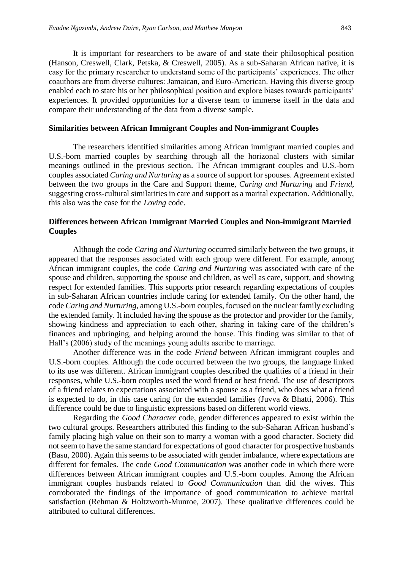It is important for researchers to be aware of and state their philosophical position (Hanson, Creswell, Clark, Petska, & Creswell, 2005). As a sub-Saharan African native, it is easy for the primary researcher to understand some of the participants' experiences. The other coauthors are from diverse cultures: Jamaican, and Euro-American. Having this diverse group enabled each to state his or her philosophical position and explore biases towards participants' experiences. It provided opportunities for a diverse team to immerse itself in the data and compare their understanding of the data from a diverse sample.

#### **Similarities between African Immigrant Couples and Non-immigrant Couples**

The researchers identified similarities among African immigrant married couples and U.S.-born married couples by searching through all the horizonal clusters with similar meanings outlined in the previous section. The African immigrant couples and U.S.-born couples associated *Caring and Nurturing* as a source of support for spouses. Agreement existed between the two groups in the Care and Support theme, *Caring and Nurturing* and *Friend*, suggesting cross-cultural similarities in care and support as a marital expectation. Additionally, this also was the case for the *Loving* code.

# **Differences between African Immigrant Married Couples and Non-immigrant Married Couples**

Although the code *Caring and Nurturing* occurred similarly between the two groups, it appeared that the responses associated with each group were different. For example, among African immigrant couples, the code *Caring and Nurturing* was associated with care of the spouse and children, supporting the spouse and children, as well as care, support, and showing respect for extended families. This supports prior research regarding expectations of couples in sub-Saharan African countries include caring for extended family. On the other hand, the code *Caring and Nurturing,* among U.S.-born couples, focused on the nuclear family excluding the extended family. It included having the spouse as the protector and provider for the family, showing kindness and appreciation to each other, sharing in taking care of the children's finances and upbringing, and helping around the house. This finding was similar to that of Hall's (2006) study of the meanings young adults ascribe to marriage.

Another difference was in the code *Friend* between African immigrant couples and U.S.-born couples. Although the code occurred between the two groups, the language linked to its use was different. African immigrant couples described the qualities of a friend in their responses, while U.S.-born couples used the word friend or best friend. The use of descriptors of a friend relates to expectations associated with a spouse as a friend, who does what a friend is expected to do, in this case caring for the extended families (Juvva & Bhatti, 2006). This difference could be due to linguistic expressions based on different world views.

Regarding the *Good Character* code, gender differences appeared to exist within the two cultural groups. Researchers attributed this finding to the sub-Saharan African husband's family placing high value on their son to marry a woman with a good character. Society did not seem to have the same standard for expectations of good character for prospective husbands (Basu, 2000). Again this seems to be associated with gender imbalance, where expectations are different for females. The code *Good Communication* was another code in which there were differences between African immigrant couples and U.S.-born couples. Among the African immigrant couples husbands related to *Good Communication* than did the wives. This corroborated the findings of the importance of good communication to achieve marital satisfaction (Rehman & Holtzworth-Munroe, 2007). These qualitative differences could be attributed to cultural differences.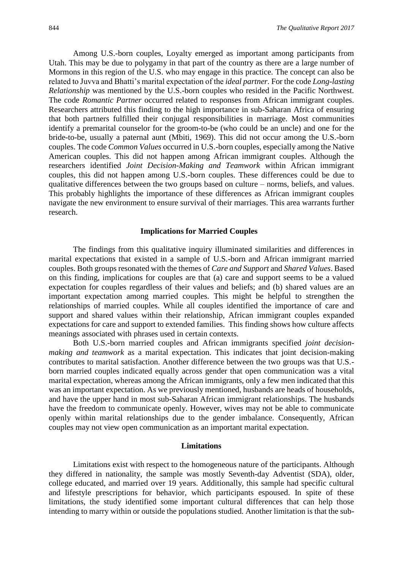Among U.S.-born couples, Loyalty emerged as important among participants from Utah. This may be due to polygamy in that part of the country as there are a large number of Mormons in this region of the U.S. who may engage in this practice. The concept can also be related to Juvva and Bhatti's marital expectation of the *ideal partner.* For the code *Long-lasting Relationship* was mentioned by the U.S.-born couples who resided in the Pacific Northwest. The code *Romantic Partner* occurred related to responses from African immigrant couples. Researchers attributed this finding to the high importance in sub-Saharan Africa of ensuring that both partners fulfilled their conjugal responsibilities in marriage. Most communities identify a premarital counselor for the groom-to-be (who could be an uncle) and one for the bride-to-be, usually a paternal aunt (Mbiti, 1969). This did not occur among the U.S.-born couples. The code *Common Values* occurred in U.S.-born couples, especially among the Native American couples. This did not happen among African immigrant couples. Although the researchers identified *Joint Decision-Making and Teamwork* within African immigrant couples, this did not happen among U.S.-born couples. These differences could be due to qualitative differences between the two groups based on culture – norms, beliefs, and values. This probably highlights the importance of these differences as African immigrant couples navigate the new environment to ensure survival of their marriages. This area warrants further research.

#### **Implications for Married Couples**

The findings from this qualitative inquiry illuminated similarities and differences in marital expectations that existed in a sample of U.S.-born and African immigrant married couples. Both groups resonated with the themes of *Care and Support* and *Shared Values*. Based on this finding, implications for couples are that (a) care and support seems to be a valued expectation for couples regardless of their values and beliefs; and (b) shared values are an important expectation among married couples. This might be helpful to strengthen the relationships of married couples. While all couples identified the importance of care and support and shared values within their relationship, African immigrant couples expanded expectations for care and support to extended families. This finding shows how culture affects meanings associated with phrases used in certain contexts.

Both U.S.-born married couples and African immigrants specified *joint decisionmaking and teamwork* as a marital expectation. This indicates that joint decision-making contributes to marital satisfaction. Another difference between the two groups was that U.S. born married couples indicated equally across gender that open communication was a vital marital expectation, whereas among the African immigrants, only a few men indicated that this was an important expectation. As we previously mentioned, husbands are heads of households, and have the upper hand in most sub-Saharan African immigrant relationships. The husbands have the freedom to communicate openly. However, wives may not be able to communicate openly within marital relationships due to the gender imbalance. Consequently, African couples may not view open communication as an important marital expectation.

#### **Limitations**

Limitations exist with respect to the homogeneous nature of the participants. Although they differed in nationality, the sample was mostly Seventh-day Adventist (SDA), older, college educated, and married over 19 years. Additionally, this sample had specific cultural and lifestyle prescriptions for behavior, which participants espoused. In spite of these limitations, the study identified some important cultural differences that can help those intending to marry within or outside the populations studied. Another limitation is that the sub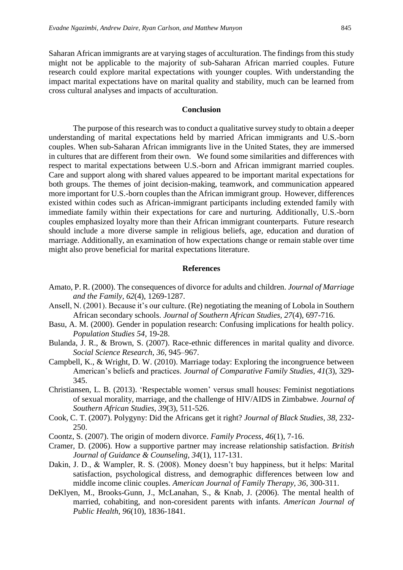Saharan African immigrants are at varying stages of acculturation. The findings from this study might not be applicable to the majority of sub-Saharan African married couples. Future research could explore marital expectations with younger couples. With understanding the impact marital expectations have on marital quality and stability, much can be learned from cross cultural analyses and impacts of acculturation.

#### **Conclusion**

The purpose of this research was to conduct a qualitative survey study to obtain a deeper understanding of marital expectations held by married African immigrants and U.S.-born couples. When sub-Saharan African immigrants live in the United States, they are immersed in cultures that are different from their own. We found some similarities and differences with respect to marital expectations between U.S.-born and African immigrant married couples. Care and support along with shared values appeared to be important marital expectations for both groups. The themes of joint decision-making, teamwork, and communication appeared more important for U.S.-born couples than the African immigrant group. However, differences existed within codes such as African-immigrant participants including extended family with immediate family within their expectations for care and nurturing. Additionally, U.S.-born couples emphasized loyalty more than their African immigrant counterparts. Future research should include a more diverse sample in religious beliefs, age, education and duration of marriage. Additionally, an examination of how expectations change or remain stable over time might also prove beneficial for marital expectations literature.

#### **References**

- Amato, P. R. (2000). The consequences of divorce for adults and children. *Journal of Marriage and the Family, 62*(4), 1269-1287.
- Ansell, N. (2001). Because it's our culture. (Re) negotiating the meaning of Lobola in Southern African secondary schools. *Journal of Southern African Studies, 27*(4), 697-716.
- Basu, A. M. (2000). Gender in population research: Confusing implications for health policy. *Population Studies 54*, 19-28.
- Bulanda, J. R., & Brown, S. (2007). Race-ethnic differences in marital quality and divorce. *Social Science Research, 36,* 945–967.
- Campbell, K., & Wright, D. W. (2010). Marriage today: Exploring the incongruence between American's beliefs and practices. *Journal of Comparative Family Studies, 41*(3), 329- 345.
- Christiansen, L. B. (2013). 'Respectable women' versus small houses: Feminist negotiations of sexual morality, marriage, and the challenge of HIV/AIDS in Zimbabwe. *Journal of Southern African Studies, 39*(3), 511-526.
- Cook, C. T. (2007). Polygyny: Did the Africans get it right? *Journal of Black Studies, 38*, 232- 250.
- Coontz, S. (2007). The origin of modern divorce. *Family Process, 46*(1), 7-16.
- Cramer, D. (2006). How a supportive partner may increase relationship satisfaction. *British Journal of Guidance & Counseling, 34*(1), 117-131.
- Dakin, J. D., & Wampler, R. S. (2008). Money doesn't buy happiness, but it helps: Marital satisfaction, psychological distress, and demographic differences between low and middle income clinic couples. *American Journal of Family Therapy, 36,* 300-311.
- DeKlyen, M., Brooks-Gunn, J., McLanahan, S., & Knab, J. (2006). The mental health of married, cohabiting, and non-coresident parents with infants. *American Journal of Public Health, 96*(10), 1836-1841.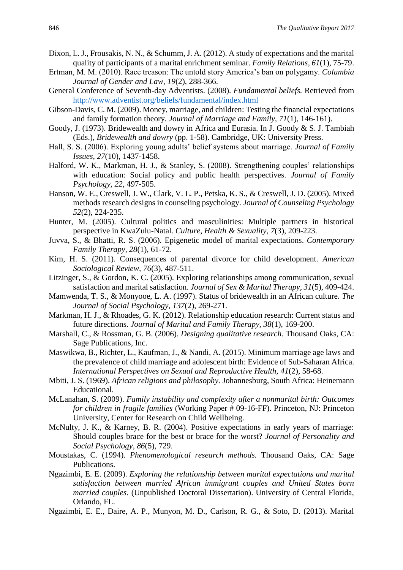- Dixon, L. J., Frousakis, N. N., & Schumm, J. A. (2012). A study of expectations and the marital quality of participants of a marital enrichment seminar. *Family Relations, 61*(1), 75-79.
- Ertman, M. M. (2010). Race treason: The untold story America's ban on polygamy. *Columbia Journal of Gender and Law, 19*(2), 288-366.
- General Conference of Seventh-day Adventists. (2008). *Fundamental beliefs.* Retrieved from <http://www.adventist.org/beliefs/fundamental/index.html>
- Gibson-Davis, C. M. (2009). Money, marriage, and children: Testing the financial expectations and family formation theory. *Journal of Marriage and Family, 71*(1), 146-161).
- Goody, J. (1973). Bridewealth and dowry in Africa and Eurasia. In J. Goody & S. J. Tambiah (Eds.), *Bridewealth and dowry* (pp. 1-58). Cambridge, UK: University Press.
- Hall, S. S. (2006). Exploring young adults' belief systems about marriage. *Journal of Family Issues, 27*(10), 1437-1458.
- Halford, W. K., Markman, H. J., & Stanley, S. (2008). Strengthening couples' relationships with education: Social policy and public health perspectives. *Journal of Family Psychology, 22*, 497-505.
- Hanson, W. E., Creswell, J. W., Clark, V. L. P., Petska, K. S., & Creswell, J. D. (2005). Mixed methods research designs in counseling psychology. *Journal of Counseling Psychology 52*(2), 224-235.
- Hunter, M. (2005). Cultural politics and masculinities: Multiple partners in historical perspective in KwaZulu-Natal. *Culture, Health & Sexuality, 7*(3), 209-223.
- Juvva, S., & Bhatti, R. S. (2006). Epigenetic model of marital expectations. *Contemporary Family Therapy, 28*(1), 61-72.
- Kim, H. S. (2011). Consequences of parental divorce for child development. *American Sociological Review, 76*(3), 487-511.
- Litzinger, S., & Gordon, K. C. (2005). Exploring relationships among communication, sexual satisfaction and marital satisfaction. *Journal of Sex & Marital Therapy, 31*(5), 409-424.
- Mamwenda, T. S., & Monyooe, L. A. (1997). Status of bridewealth in an African culture. *The Journal of Social Psychology, 137*(2), 269-271.
- Markman, H. J., & Rhoades, G. K. (2012). Relationship education research: Current status and future directions. *Journal of Marital and Family Therapy, 38*(1), 169-200.
- Marshall, C., & Rossman, G. B. (2006). *Designing qualitative research.* Thousand Oaks, CA: Sage Publications, Inc.
- Maswikwa, B., Richter, L., Kaufman, J., & Nandi, A. (2015). Minimum marriage age laws and the prevalence of child marriage and adolescent birth: Evidence of Sub-Saharan Africa. *International Perspectives on Sexual and Reproductive Health, 41*(2), 58-68.
- Mbiti, J. S. (1969). *African religions and philosophy.* Johannesburg, South Africa: Heinemann Educational.
- McLanahan, S. (2009). *Family instability and complexity after a nonmarital birth: Outcomes for children in fragile families* (Working Paper # 09-16-FF). Princeton, NJ: Princeton University, Center for Research on Child Wellbeing.
- McNulty, J. K., & Karney, B. R. (2004). Positive expectations in early years of marriage: Should couples brace for the best or brace for the worst? *Journal of Personality and Social Psychology, 86*(5), 729.
- Moustakas, C. (1994). *Phenomenological research methods.* Thousand Oaks, CA: Sage Publications.
- Ngazimbi, E. E. (2009). *Exploring the relationship between marital expectations and marital satisfaction between married African immigrant couples and United States born married couples.* (Unpublished Doctoral Dissertation). University of Central Florida, Orlando, FL.
- Ngazimbi, E. E., Daire, A. P., Munyon, M. D., Carlson, R. G., & Soto, D. (2013). Marital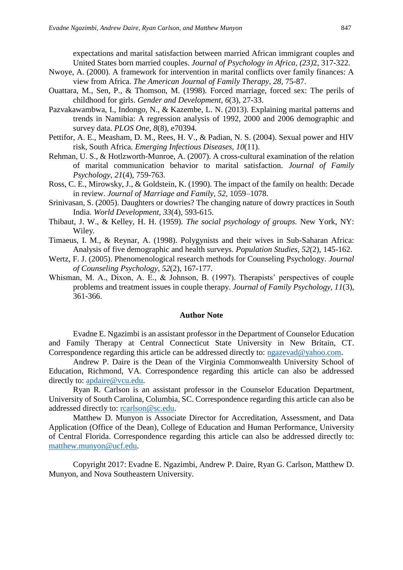expectations and marital satisfaction between married African immigrant couples and United States born married couples. *Journal of Psychology in Africa, (23)*2, 317-322.

- Nwoye, A. (2000). A framework for intervention in marital conflicts over family finances: A view from Africa. *The American Journal of Family Therapy, 28,* 75-87.
- Ouattara, M., Sen, P., & Thomson, M. (1998). Forced marriage, forced sex: The perils of childhood for girls. *Gender and Development, 6*(3), 27-33.
- Pazvakawambwa, I., Indongo, N., & Kazembe, L. N. (2013). Explaining marital patterns and trends in Namibia: A regression analysis of 1992, 2000 and 2006 demographic and survey data. *PLOS One, 8*(8), e70394.
- Pettifor, A. E., Measham, D. M., Rees, H. V., & Padian, N. S. (2004). Sexual power and HIV risk, South Africa. *Emerging Infectious Diseases, 10*(11).
- Rehman, U. S., & Hotlzworth-Munroe, A. (2007). A cross-cultural examination of the relation of marital communication behavior to marital satisfaction. *Journal of Family Psychology, 21*(4), 759-763.
- Ross, C. E., Mirowsky, J., & Goldstein, K. (1990). The impact of the family on health: Decade in review. *Journal of Marriage and Family, 52*, 1059–1078.
- Srinivasan, S. (2005). Daughters or dowries? The changing nature of dowry practices in South India. *World Development, 33*(4), 593-615.
- Thibaut, J. W., & Kelley, H. H. (1959). *The social psychology of groups.* New York, NY: Wiley.
- Timaeus, I. M., & Reynar, A. (1998). Polygynists and their wives in Sub-Saharan Africa: Analysis of five demographic and health surveys. *Population Studies, 52*(2), 145-162.
- Wertz, F. J. (2005). Phenomenological research methods for Counseling Psychology. *Journal of Counseling Psychology, 52*(2), 167-177.
- Whisman, M. A., Dixon, A. E., & Johnson, B. (1997). Therapists' perspectives of couple problems and treatment issues in couple therapy. *Journal of Family Psychology, 11*(3), 361-366.

# **Author Note**

Evadne E. Ngazimbi is an assistant professor in the Department of Counselor Education and Family Therapy at Central Connecticut State University in New Britain, CT. Correspondence regarding this article can be addressed directly to: [ngazevad@yahoo.com.](mailto:ngazevad@yahoo.com)

Andrew P. Daire is the Dean of the Virginia Commonwealth University School of Education, Richmond, VA. Correspondence regarding this article can also be addressed directly to: [apdaire@vcu.edu.](mailto:apdaire@vcu.edu)

Ryan R. Carlson is an assistant professor in the Counselor Education Department, University of South Carolina, Columbia, SC. Correspondence regarding this article can also be addressed directly to: [rcarlson@sc.edu.](mailto:rcarlson@sc.edu)

Matthew D. Munyon is Associate Director for Accreditation, Assessment, and Data Application (Office of the Dean), College of Education and Human Performance, University of Central Florida. Correspondence regarding this article can also be addressed directly to: [matthew.munyon@ucf.edu.](mailto:matthew.munyon@ucf.edu)

Copyright 2017: Evadne E. Ngazimbi, Andrew P. Daire, Ryan G. Carlson, Matthew D. Munyon, and Nova Southeastern University.